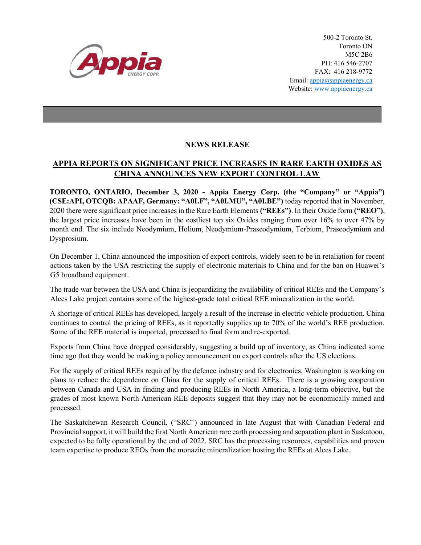

500-2 Toronto St. Toronto ON M5C 2B6 PH: 416 546-2707 FAX: 416 218-9772 Email: appia@appiaenergy.ca Website: www.appiaenergy.ca

## NEWS RELEASE

## APPIA REPORTS ON SIGNIFICANT PRICE INCREASES IN RARE EARTH OXIDES AS CHINA ANNOUNCES NEW EXPORT CONTROL LAW

TORONTO, ONTARIO, December 3, 2020 - Appia Energy Corp. (the "Company" or "Appia") (CSE:API, OTCQB: APAAF, Germany: "A0I.F", "A0I.MU", "A0I.BE") today reported that in November, 2020 there were significant price increases in the Rare Earth Elements ("REEs"). In their Oxide form ("REO"), the largest price increases have been in the costliest top six Oxides ranging from over 16% to over 47% by month end. The six include Neodymium, Holium, Neodymium-Praseodymium, Terbium, Praseodymium and Dysprosium.

On December 1, China announced the imposition of export controls, widely seen to be in retaliation for recent actions taken by the USA restricting the supply of electronic materials to China and for the ban on Huawei's G5 broadband equipment.

The trade war between the USA and China is jeopardizing the availability of critical REEs and the Company's Alces Lake project contains some of the highest-grade total critical REE mineralization in the world.

A shortage of critical REEs has developed, largely a result of the increase in electric vehicle production. China continues to control the pricing of REEs, as it reportedly supplies up to 70% of the world's REE production. Some of the REE material is imported, processed to final form and re-exported.

Exports from China have dropped considerably, suggesting a build up of inventory, as China indicated some time ago that they would be making a policy announcement on export controls after the US elections.

For the supply of critical REEs required by the defence industry and for electronics, Washington is working on plans to reduce the dependence on China for the supply of critical REEs. There is a growing cooperation between Canada and USA in finding and producing REEs in North America, a long-term objective, but the grades of most known North American REE deposits suggest that they may not be economically mined and processed.

The Saskatchewan Research Council, ("SRC") announced in late August that with Canadian Federal and Provincial support, it will build the first North American rare earth processing and separation plant in Saskatoon, expected to be fully operational by the end of 2022. SRC has the processing resources, capabilities and proven team expertise to produce REOs from the monazite mineralization hosting the REEs at Alces Lake.